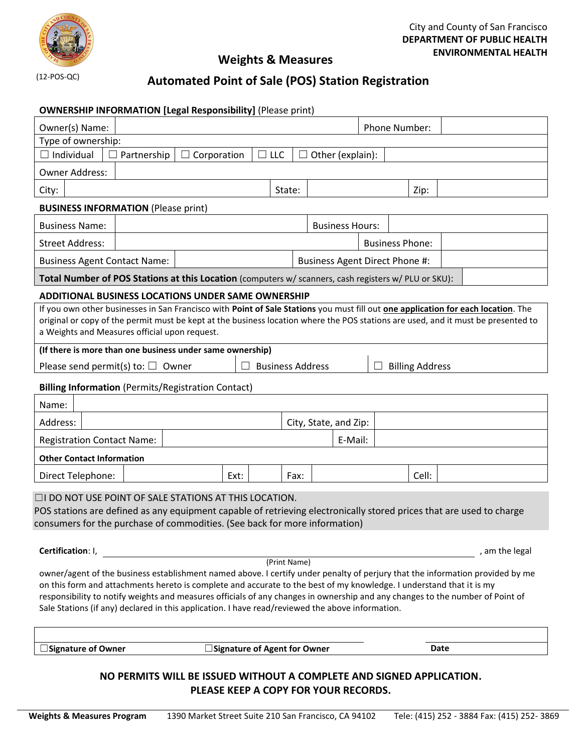

## **Weights & Measures**

# **Automated Point of Sale (POS) Station Registration**

|                                                                                                                                                                                                                                                                                                                                                                                                                                                                                            | <b>OWNERSHIP INFORMATION [Legal Responsibility] (Please print)</b> |                                |        |                                |                        |       |      |  |
|--------------------------------------------------------------------------------------------------------------------------------------------------------------------------------------------------------------------------------------------------------------------------------------------------------------------------------------------------------------------------------------------------------------------------------------------------------------------------------------------|--------------------------------------------------------------------|--------------------------------|--------|--------------------------------|------------------------|-------|------|--|
| Owner(s) Name:                                                                                                                                                                                                                                                                                                                                                                                                                                                                             |                                                                    |                                |        |                                | Phone Number:          |       |      |  |
| Type of ownership:                                                                                                                                                                                                                                                                                                                                                                                                                                                                         |                                                                    |                                |        |                                |                        |       |      |  |
| Individual                                                                                                                                                                                                                                                                                                                                                                                                                                                                                 | Corporation<br>$\Box$ Partnership<br>$\Box$                        | $\Box$ LLC                     |        | Other (explain):               |                        |       |      |  |
| <b>Owner Address:</b>                                                                                                                                                                                                                                                                                                                                                                                                                                                                      |                                                                    |                                |        |                                |                        |       |      |  |
| City:                                                                                                                                                                                                                                                                                                                                                                                                                                                                                      |                                                                    |                                | State: |                                |                        | Zip:  |      |  |
| <b>BUSINESS INFORMATION (Please print)</b>                                                                                                                                                                                                                                                                                                                                                                                                                                                 |                                                                    |                                |        |                                |                        |       |      |  |
| <b>Business Name:</b>                                                                                                                                                                                                                                                                                                                                                                                                                                                                      |                                                                    |                                |        | <b>Business Hours:</b>         |                        |       |      |  |
| <b>Street Address:</b>                                                                                                                                                                                                                                                                                                                                                                                                                                                                     |                                                                    |                                |        |                                | <b>Business Phone:</b> |       |      |  |
| <b>Business Agent Contact Name:</b>                                                                                                                                                                                                                                                                                                                                                                                                                                                        |                                                                    |                                |        | Business Agent Direct Phone #: |                        |       |      |  |
| Total Number of POS Stations at this Location (computers w/ scanners, cash registers w/ PLU or SKU):                                                                                                                                                                                                                                                                                                                                                                                       |                                                                    |                                |        |                                |                        |       |      |  |
| <b>ADDITIONAL BUSINESS LOCATIONS UNDER SAME OWNERSHIP</b>                                                                                                                                                                                                                                                                                                                                                                                                                                  |                                                                    |                                |        |                                |                        |       |      |  |
| If you own other businesses in San Francisco with Point of Sale Stations you must fill out one application for each location. The<br>original or copy of the permit must be kept at the business location where the POS stations are used, and it must be presented to<br>a Weights and Measures official upon request.                                                                                                                                                                    |                                                                    |                                |        |                                |                        |       |      |  |
| (If there is more than one business under same ownership)                                                                                                                                                                                                                                                                                                                                                                                                                                  |                                                                    |                                |        |                                |                        |       |      |  |
| <b>Billing Address</b><br>Please send permit(s) to: $\Box$ Owner<br><b>Business Address</b>                                                                                                                                                                                                                                                                                                                                                                                                |                                                                    |                                |        |                                |                        |       |      |  |
| <b>Billing Information (Permits/Registration Contact)</b>                                                                                                                                                                                                                                                                                                                                                                                                                                  |                                                                    |                                |        |                                |                        |       |      |  |
| Name:                                                                                                                                                                                                                                                                                                                                                                                                                                                                                      |                                                                    |                                |        |                                |                        |       |      |  |
| Address:                                                                                                                                                                                                                                                                                                                                                                                                                                                                                   |                                                                    |                                |        | City, State, and Zip:          |                        |       |      |  |
| E-Mail:<br><b>Registration Contact Name:</b>                                                                                                                                                                                                                                                                                                                                                                                                                                               |                                                                    |                                |        |                                |                        |       |      |  |
| <b>Other Contact Information</b>                                                                                                                                                                                                                                                                                                                                                                                                                                                           |                                                                    |                                |        |                                |                        |       |      |  |
| Direct Telephone:                                                                                                                                                                                                                                                                                                                                                                                                                                                                          |                                                                    | Ext:                           | Fax:   |                                |                        | Cell: |      |  |
| $\Box$ I DO NOT USE POINT OF SALE STATIONS AT THIS LOCATION.<br>POS stations are defined as any equipment capable of retrieving electronically stored prices that are used to charge<br>consumers for the purchase of commodities. (See back for more information)                                                                                                                                                                                                                         |                                                                    |                                |        |                                |                        |       |      |  |
| Certification: I,<br>, am the legal<br>(Print Name)                                                                                                                                                                                                                                                                                                                                                                                                                                        |                                                                    |                                |        |                                |                        |       |      |  |
| owner/agent of the business establishment named above. I certify under penalty of perjury that the information provided by me<br>on this form and attachments hereto is complete and accurate to the best of my knowledge. I understand that it is my<br>responsibility to notify weights and measures officials of any changes in ownership and any changes to the number of Point of<br>Sale Stations (if any) declared in this application. I have read/reviewed the above information. |                                                                    |                                |        |                                |                        |       |      |  |
| □ Signature of Owner                                                                                                                                                                                                                                                                                                                                                                                                                                                                       |                                                                    | □ Signature of Agent for Owner |        |                                |                        |       | Date |  |
|                                                                                                                                                                                                                                                                                                                                                                                                                                                                                            |                                                                    |                                |        |                                |                        |       |      |  |
| NO PERMITS WILL BE ISSUED WITHOUT A COMPLETE AND SIGNED APPLICATION.                                                                                                                                                                                                                                                                                                                                                                                                                       |                                                                    |                                |        |                                |                        |       |      |  |

**PLEASE KEEP A COPY FOR YOUR RECORDS.**